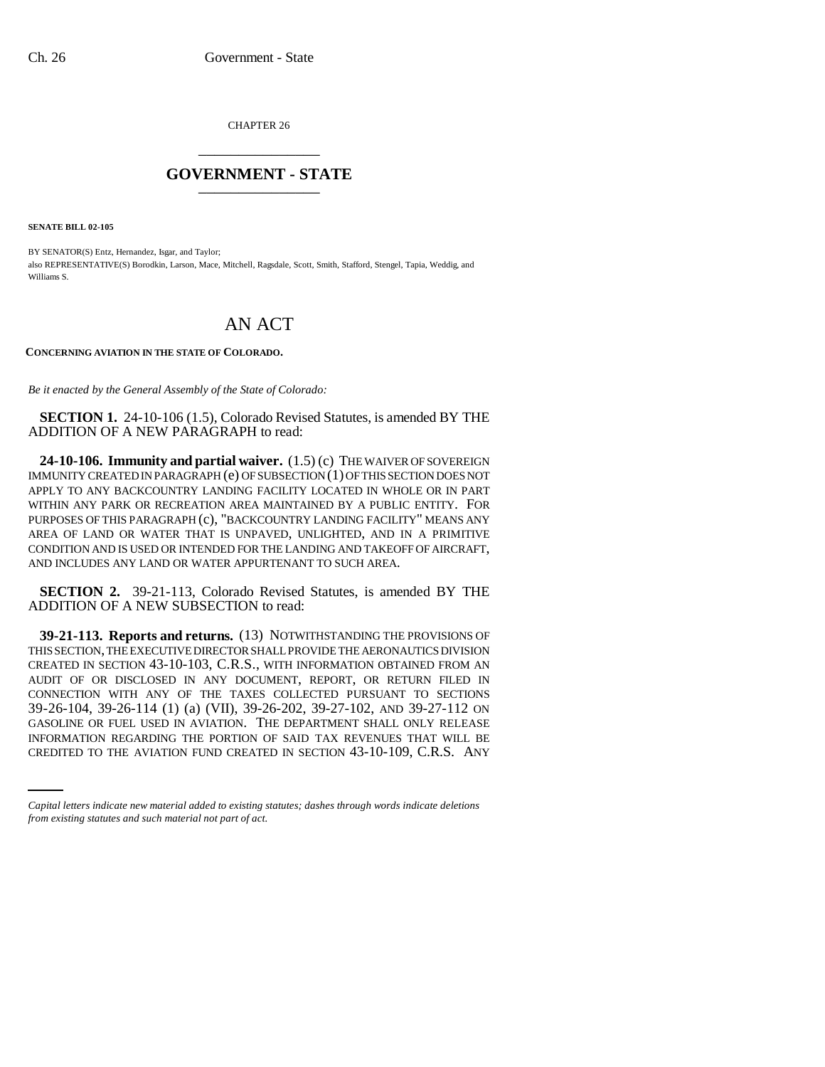CHAPTER 26 \_\_\_\_\_\_\_\_\_\_\_\_\_\_\_

## **GOVERNMENT - STATE** \_\_\_\_\_\_\_\_\_\_\_\_\_\_\_

**SENATE BILL 02-105**

BY SENATOR(S) Entz, Hernandez, Isgar, and Taylor; also REPRESENTATIVE(S) Borodkin, Larson, Mace, Mitchell, Ragsdale, Scott, Smith, Stafford, Stengel, Tapia, Weddig, and Williams S.

## AN ACT

## **CONCERNING AVIATION IN THE STATE OF COLORADO.**

*Be it enacted by the General Assembly of the State of Colorado:*

**SECTION 1.** 24-10-106 (1.5), Colorado Revised Statutes, is amended BY THE ADDITION OF A NEW PARAGRAPH to read:

**24-10-106. Immunity and partial waiver.** (1.5) (c) THE WAIVER OF SOVEREIGN IMMUNITY CREATED IN PARAGRAPH (e) OF SUBSECTION (1) OF THIS SECTION DOES NOT APPLY TO ANY BACKCOUNTRY LANDING FACILITY LOCATED IN WHOLE OR IN PART WITHIN ANY PARK OR RECREATION AREA MAINTAINED BY A PUBLIC ENTITY. FOR PURPOSES OF THIS PARAGRAPH (c), "BACKCOUNTRY LANDING FACILITY" MEANS ANY AREA OF LAND OR WATER THAT IS UNPAVED, UNLIGHTED, AND IN A PRIMITIVE CONDITION AND IS USED OR INTENDED FOR THE LANDING AND TAKEOFF OF AIRCRAFT, AND INCLUDES ANY LAND OR WATER APPURTENANT TO SUCH AREA.

**SECTION 2.** 39-21-113, Colorado Revised Statutes, is amended BY THE ADDITION OF A NEW SUBSECTION to read:

GASOLINE OR FUEL USED IN AVIATION. THE DEPARTMENT SHALL ONLY RELEASE **39-21-113. Reports and returns.** (13) NOTWITHSTANDING THE PROVISIONS OF THIS SECTION, THE EXECUTIVE DIRECTOR SHALL PROVIDE THE AERONAUTICS DIVISION CREATED IN SECTION 43-10-103, C.R.S., WITH INFORMATION OBTAINED FROM AN AUDIT OF OR DISCLOSED IN ANY DOCUMENT, REPORT, OR RETURN FILED IN CONNECTION WITH ANY OF THE TAXES COLLECTED PURSUANT TO SECTIONS 39-26-104, 39-26-114 (1) (a) (VII), 39-26-202, 39-27-102, AND 39-27-112 ON INFORMATION REGARDING THE PORTION OF SAID TAX REVENUES THAT WILL BE CREDITED TO THE AVIATION FUND CREATED IN SECTION 43-10-109, C.R.S. ANY

*Capital letters indicate new material added to existing statutes; dashes through words indicate deletions from existing statutes and such material not part of act.*